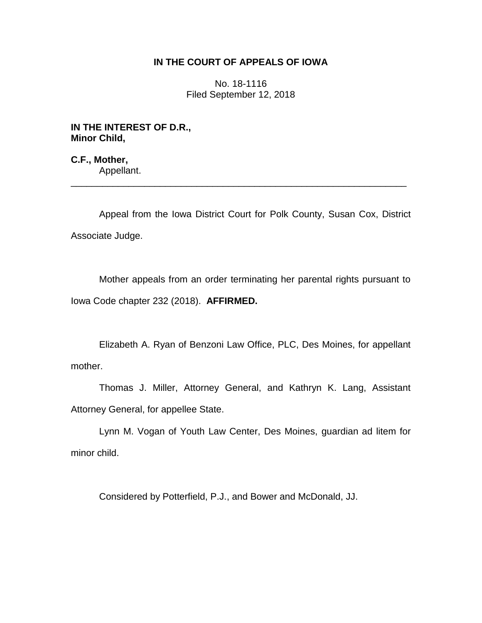## **IN THE COURT OF APPEALS OF IOWA**

No. 18-1116 Filed September 12, 2018

**IN THE INTEREST OF D.R., Minor Child,**

**C.F., Mother,** Appellant.

Appeal from the Iowa District Court for Polk County, Susan Cox, District Associate Judge.

\_\_\_\_\_\_\_\_\_\_\_\_\_\_\_\_\_\_\_\_\_\_\_\_\_\_\_\_\_\_\_\_\_\_\_\_\_\_\_\_\_\_\_\_\_\_\_\_\_\_\_\_\_\_\_\_\_\_\_\_\_\_\_\_

Mother appeals from an order terminating her parental rights pursuant to Iowa Code chapter 232 (2018). **AFFIRMED.**

Elizabeth A. Ryan of Benzoni Law Office, PLC, Des Moines, for appellant mother.

Thomas J. Miller, Attorney General, and Kathryn K. Lang, Assistant Attorney General, for appellee State.

Lynn M. Vogan of Youth Law Center, Des Moines, guardian ad litem for minor child.

Considered by Potterfield, P.J., and Bower and McDonald, JJ.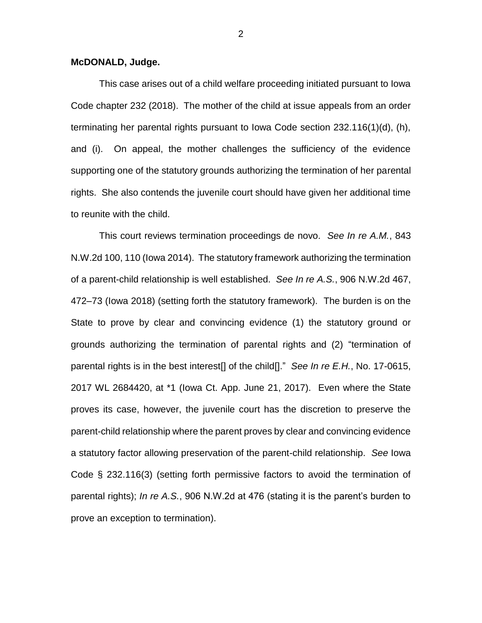## **McDONALD, Judge.**

This case arises out of a child welfare proceeding initiated pursuant to Iowa Code chapter 232 (2018). The mother of the child at issue appeals from an order terminating her parental rights pursuant to Iowa Code section 232.116(1)(d), (h), and (i). On appeal, the mother challenges the sufficiency of the evidence supporting one of the statutory grounds authorizing the termination of her parental rights. She also contends the juvenile court should have given her additional time to reunite with the child.

This court reviews termination proceedings de novo. *See In re A.M.*, 843 N.W.2d 100, 110 (Iowa 2014). The statutory framework authorizing the termination of a parent-child relationship is well established. *See In re A.S.*, 906 N.W.2d 467, 472–73 (Iowa 2018) (setting forth the statutory framework). The burden is on the State to prove by clear and convincing evidence (1) the statutory ground or grounds authorizing the termination of parental rights and (2) "termination of parental rights is in the best interest[] of the child[]." *See In re E.H.*, No. 17-0615, 2017 WL 2684420, at \*1 (Iowa Ct. App. June 21, 2017). Even where the State proves its case, however, the juvenile court has the discretion to preserve the parent-child relationship where the parent proves by clear and convincing evidence a statutory factor allowing preservation of the parent-child relationship. *See* Iowa Code § 232.116(3) (setting forth permissive factors to avoid the termination of parental rights); *In re A.S.*, 906 N.W.2d at 476 (stating it is the parent's burden to prove an exception to termination).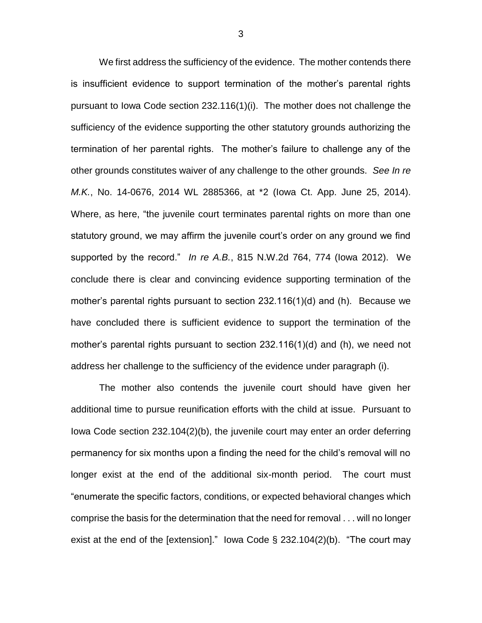We first address the sufficiency of the evidence. The mother contends there is insufficient evidence to support termination of the mother's parental rights pursuant to Iowa Code section 232.116(1)(i). The mother does not challenge the sufficiency of the evidence supporting the other statutory grounds authorizing the termination of her parental rights. The mother's failure to challenge any of the other grounds constitutes waiver of any challenge to the other grounds. *See In re M.K.*, No. 14-0676, 2014 WL 2885366, at \*2 (Iowa Ct. App. June 25, 2014). Where, as here, "the juvenile court terminates parental rights on more than one statutory ground, we may affirm the juvenile court's order on any ground we find supported by the record." *In re A.B.*, 815 N.W.2d 764, 774 (Iowa 2012). We conclude there is clear and convincing evidence supporting termination of the mother's parental rights pursuant to section 232.116(1)(d) and (h). Because we have concluded there is sufficient evidence to support the termination of the mother's parental rights pursuant to section 232.116(1)(d) and (h), we need not address her challenge to the sufficiency of the evidence under paragraph (i).

The mother also contends the juvenile court should have given her additional time to pursue reunification efforts with the child at issue. Pursuant to Iowa Code section 232.104(2)(b), the juvenile court may enter an order deferring permanency for six months upon a finding the need for the child's removal will no longer exist at the end of the additional six-month period. The court must "enumerate the specific factors, conditions, or expected behavioral changes which comprise the basis for the determination that the need for removal . . . will no longer exist at the end of the [extension]." Iowa Code § 232.104(2)(b). "The court may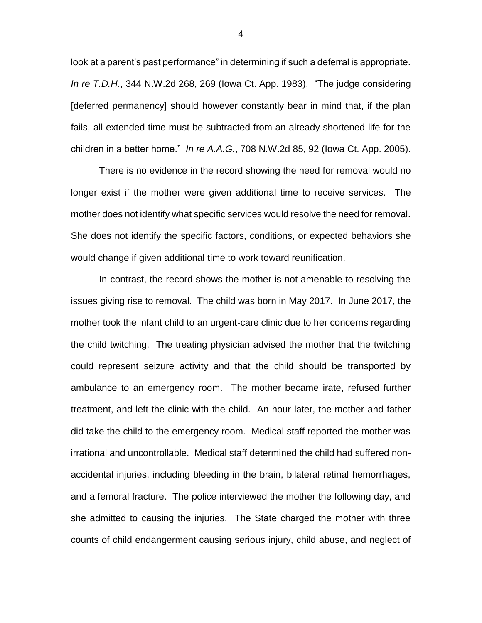look at a parent's past performance" in determining if such a deferral is appropriate. *In re T.D.H.*, 344 N.W.2d 268, 269 (Iowa Ct. App. 1983). "The judge considering [deferred permanency] should however constantly bear in mind that, if the plan fails, all extended time must be subtracted from an already shortened life for the children in a better home." *In re A.A.G.*, 708 N.W.2d 85, 92 (Iowa Ct. App. 2005).

There is no evidence in the record showing the need for removal would no longer exist if the mother were given additional time to receive services. The mother does not identify what specific services would resolve the need for removal. She does not identify the specific factors, conditions, or expected behaviors she would change if given additional time to work toward reunification.

In contrast, the record shows the mother is not amenable to resolving the issues giving rise to removal. The child was born in May 2017. In June 2017, the mother took the infant child to an urgent-care clinic due to her concerns regarding the child twitching. The treating physician advised the mother that the twitching could represent seizure activity and that the child should be transported by ambulance to an emergency room. The mother became irate, refused further treatment, and left the clinic with the child. An hour later, the mother and father did take the child to the emergency room. Medical staff reported the mother was irrational and uncontrollable. Medical staff determined the child had suffered nonaccidental injuries, including bleeding in the brain, bilateral retinal hemorrhages, and a femoral fracture. The police interviewed the mother the following day, and she admitted to causing the injuries. The State charged the mother with three counts of child endangerment causing serious injury, child abuse, and neglect of

4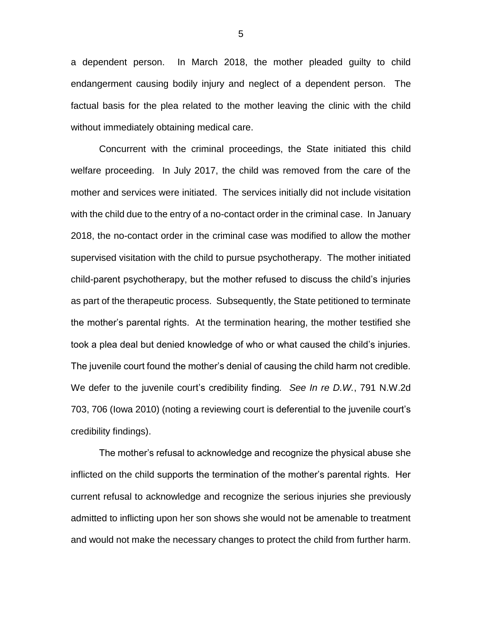a dependent person. In March 2018, the mother pleaded guilty to child endangerment causing bodily injury and neglect of a dependent person. The factual basis for the plea related to the mother leaving the clinic with the child without immediately obtaining medical care.

Concurrent with the criminal proceedings, the State initiated this child welfare proceeding. In July 2017, the child was removed from the care of the mother and services were initiated. The services initially did not include visitation with the child due to the entry of a no-contact order in the criminal case. In January 2018, the no-contact order in the criminal case was modified to allow the mother supervised visitation with the child to pursue psychotherapy. The mother initiated child-parent psychotherapy, but the mother refused to discuss the child's injuries as part of the therapeutic process. Subsequently, the State petitioned to terminate the mother's parental rights. At the termination hearing, the mother testified she took a plea deal but denied knowledge of who or what caused the child's injuries. The juvenile court found the mother's denial of causing the child harm not credible. We defer to the juvenile court's credibility finding*. See In re D.W.*, 791 N.W.2d 703, 706 (Iowa 2010) (noting a reviewing court is deferential to the juvenile court's credibility findings).

The mother's refusal to acknowledge and recognize the physical abuse she inflicted on the child supports the termination of the mother's parental rights. Her current refusal to acknowledge and recognize the serious injuries she previously admitted to inflicting upon her son shows she would not be amenable to treatment and would not make the necessary changes to protect the child from further harm.

5